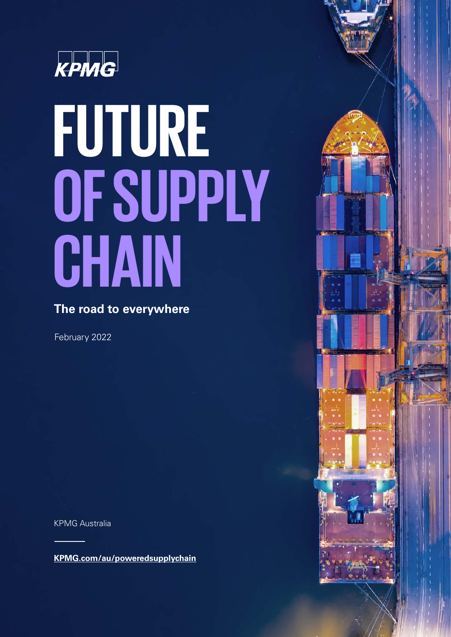

# **FUTURE OFSUPPLY CHAIN**

### **The road to everywhere**

February 2022

KPMG Australia

**[KPMG.com/au/poweredsupplychain](http://KPMG.com/au/poweredsupplychain)**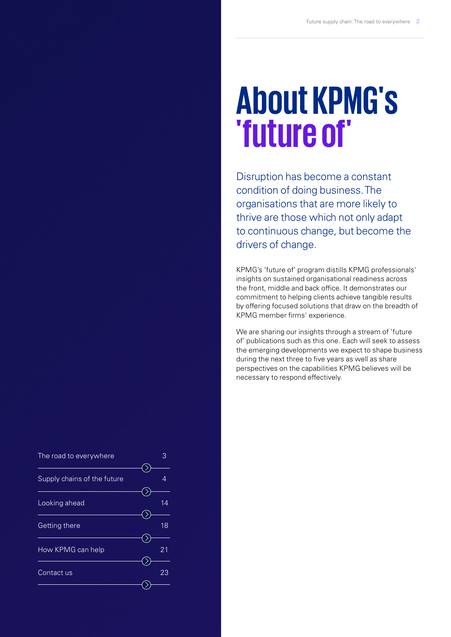### **About KPMG's 'future of'**

Disruption has become a constant condition of doing business. The organisations that are more likely to thrive are those which not only adapt to continuous change, but become the drivers of change.

KPMG's 'future of' program distills KPMG professionals' insights on sustained organisational readiness across the front, middle and back office. It demonstrates our commitment to helping clients achieve tangible results by offering focused solutions that draw on the breadth of KPMG member firms' experience.

We are sharing our insights through a stream of 'future of' publications such as this one. Each will seek to assess the emerging developments we expect to shape business during the next three to five years as well as share perspectives on the capabilities KPMG believes will be necessary to respond effectively.

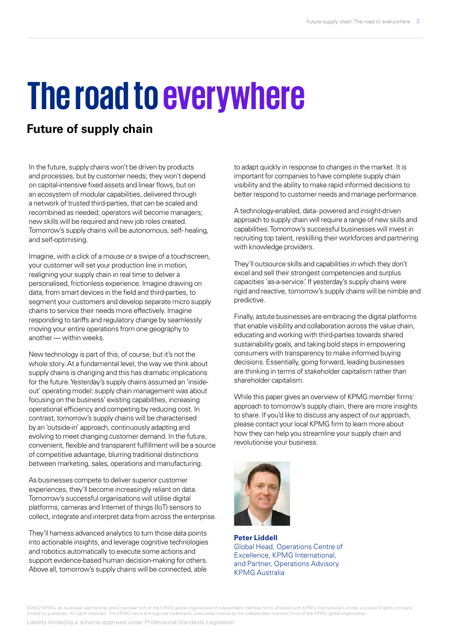### **The road to everywhere**

### **Future of supply chain**

In the future, supply chains won't be driven by products and processes, but by customer needs; they won't depend on capital-intensive fixed assets and linear flows, but on an ecosystem of modular capabilities, delivered through a network of trusted third-parties, that can be scaled and recombined as needed; operators will become managers; new skills will be required and new job roles created. Tomorrow's supply chains will be autonomous, self- healing, and self-optimising.

Imagine, with a click of a mouse or a swipe of a touchscreen, your customer will set your production line in motion, realigning your supply chain in real time to deliver a personalised, frictionless experience. Imagine drawing on data, from smart devices in the field and third-parties, to segment your customers and develop separate micro supply chains to service their needs more effectively. Imagine responding to tariffs and regulatory change by seamlessly moving your entire operations from one geography to another — within weeks.

New technology is part of this, of course, but it's not the whole story. At a fundamental level, the way we think about supply chains is changing and this has dramatic implications for the future. Yesterday's supply chains assumed an 'insideout' operating model: supply chain management was about focusing on the business' existing capabilities, increasing operational efficiency and competing by reducing cost. In contrast, tomorrow's supply chains will be characterised by an 'outside-in' approach, continuously adapting and evolving to meet changing customer demand. In the future, convenient, flexible and transparent fulfillment will be a source of competitive advantage, blurring traditional distinctions between marketing, sales, operations and manufacturing.

As businesses compete to deliver superior customer experiences, they'll become increasingly reliant on data. Tomorrow's successful organisations will utilise digital platforms, cameras and Internet of things (IoT) sensors to collect, integrate and interpret data from across the enterprise.

They'll harness advanced analytics to turn those data points into actionable insights, and leverage cognitive technologies and robotics automatically to execute some actions and support evidence-based human decision-making for others. Above all, tomorrow's supply chains will be connected, able

to adapt quickly in response to changes in the market. It is important for companies to have complete supply chain visibility and the ability to make rapid informed decisions to better respond to customer needs and manage performance.

A technology-enabled, data- powered and insight-driven approach to supply chain will require a range of new skills and capabilities. Tomorrow's successful businesses will invest in recruiting top talent, reskilling their workforces and partnering with knowledge providers.

They'll outsource skills and capabilities in which they don't excel and sell their strongest competencies and surplus capacities 'as-a-service.' If yesterday's supply chains were rigid and reactive, tomorrow's supply chains will be nimble and predictive.

Finally, astute businesses are embracing the digital platforms that enable visibility and collaboration across the value chain, educating and working with third-parties towards shared sustainability goals, and taking bold steps in empowering consumers with transparency to make informed buying decisions. Essentially, going forward, leading businesses are thinking in terms of stakeholder capitalism rather than shareholder capitalism.

While this paper gives an overview of KPMG member firms' approach to tomorrow's supply chain, there are more insights to share. If you'd like to discuss any aspect of our approach, please contact your local KPMG firm to learn more about how they can help you streamline your supply chain and revolutionise your business.



**Peter Liddell**  Global Head, Operations Centre of Excellence, KPMG International, and Partner, Operations Advisory KPMG Australia

©2022 KPMG, an Australian partnership and a member firm of the KPMG global organisation of independent member firms affiliated with KPMG International Limited, a private English company<br>limited by guarantee. All rights res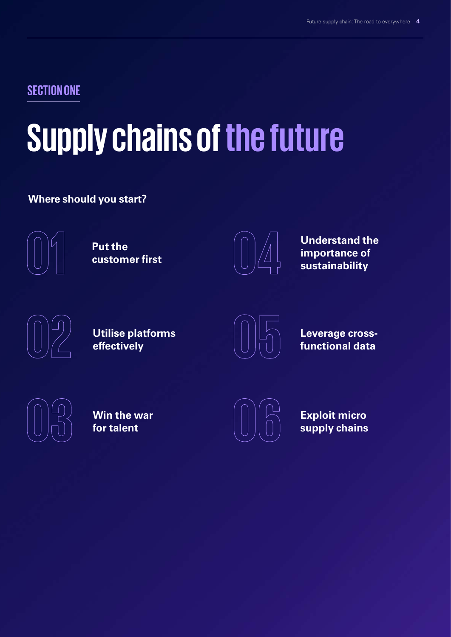### **SECTION ONE**

### **Supply chains of the future**

### **Where should you start?**



**Put the customer first**



**Understand the importance of sustainability**



**Utilise platforms effectively**



**Leverage crossfunctional data**



**Win the war for talent**



**Exploit micro supply chains**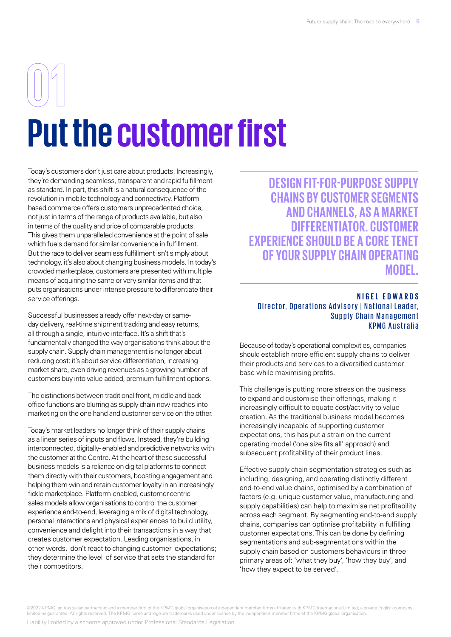# **Put the customer first**

Today's customers don't just care about products. Increasingly, they're demanding seamless, transparent and rapid fulfillment as standard. In part, this shift is a natural consequence of the revolution in mobile technology and connectivity. Platformbased commerce offers customers unprecedented choice, not just in terms of the range of products available, but also in terms of the quality and price of comparable products. This gives them unparalleled convenience at the point of sale which fuels demand for similar convenience in fulfillment. But the race to deliver seamless fulfillment isn't simply about technology, it's also about changing business models. In today's crowded marketplace, customers are presented with multiple means of acquiring the same or very similar items and that puts organisations under intense pressure to differentiate their service offerings.

Successful businesses already offer next-day or sameday delivery, real-time shipment tracking and easy returns, all through a single, intuitive interface. It's a shift that's fundamentally changed the way organisations think about the supply chain. Supply chain management is no longer about reducing cost: it's about service differentiation, increasing market share, even driving revenues as a growing number of customers buy into value-added, premium fulfillment options.

The distinctions between traditional front, middle and back office functions are blurring as supply chain now reaches into marketing on the one hand and customer service on the other.

Today's market leaders no longer think of their supply chains as a linear series of inputs and flows. Instead, they're building interconnected, digitally- enabled and predictive networks with the customer at the Centre. At the heart of these successful business models is a reliance on digital platforms to connect them directly with their customers, boosting engagement and helping them win and retain customer loyalty in an increasingly fickle marketplace. Platform-enabled, customer-centric sales models allow organisations to control the customer experience end-to-end, leveraging a mix of digital technology, personal interactions and physical experiences to build utility, convenience and delight into their transactions in a way that creates customer expectation. Leading organisations, in other words, don't react to changing customer expectations; they determine the level of service that sets the standard for their competitors.

**DESIGN FIT-FOR-PURPOSE SUPPLY CHAINS BY CUSTOMER SEGMENTS AND CHANNELS, AS A MARKET DIFFERENTIATOR. CUSTOMER EXPERIENCE SHOULD BE A CORE TENET OF YOUR SUPPLY CHAIN OPERATING MODEL.**

### **NIGEL EDWARDS** Director, Operations Advisory | National Leader, Supply Chain Management KPMG Australia

Because of today's operational complexities, companies should establish more efficient supply chains to deliver their products and services to a diversified customer base while maximising profits.

This challenge is putting more stress on the business to expand and customise their offerings, making it increasingly difficult to equate cost/activity to value creation. As the traditional business model becomes increasingly incapable of supporting customer expectations, this has put a strain on the current operating model ('one size fits all' approach) and subsequent profitability of their product lines.

Effective supply chain segmentation strategies such as including, designing, and operating distinctly different end-to-end value chains, optimised by a combination of factors (e.g. unique customer value, manufacturing and supply capabilities) can help to maximise net profitability across each segment. By segmenting end-to-end supply chains, companies can optimise profitability in fulfilling customer expectations. This can be done by defining segmentations and sub-segmentations within the supply chain based on customers behaviours in three primary areas of: 'what they buy', 'how they buy', and 'how they expect to be served'.

©2022 KPMG, an Australian partnership and a member firm of the KPMG global organisation of independent member firms affiliated with KPMG International Limited, a private English company<br>limited by guarantee. All rights res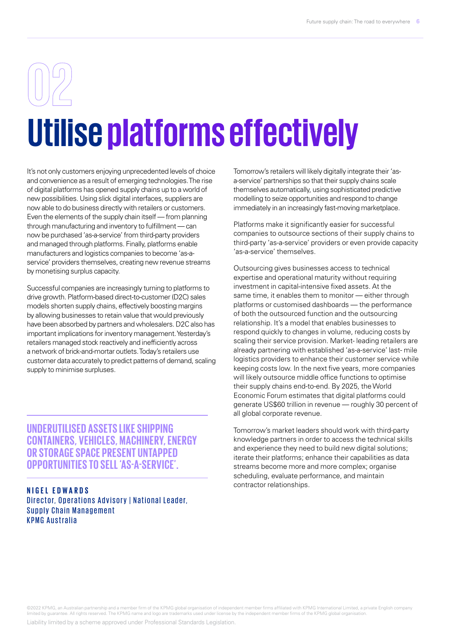# **Utilise platforms effectively**

It's not only customers enjoying unprecedented levels of choice and convenience as a result of emerging technologies. The rise of digital platforms has opened supply chains up to a world of new possibilities. Using slick digital interfaces, suppliers are now able to do business directly with retailers or customers. Even the elements of the supply chain itself — from planning through manufacturing and inventory to fulfillment — can now be purchased 'as-a-service' from third-party providers and managed through platforms. Finally, platforms enable manufacturers and logistics companies to become 'as-aservice' providers themselves, creating new revenue streams by monetising surplus capacity.

Successful companies are increasingly turning to platforms to drive growth. Platform-based direct-to-customer (D2C) sales models shorten supply chains, effectively boosting margins by allowing businesses to retain value that would previously have been absorbed by partners and wholesalers. D2C also has important implications for inventory management. Yesterday's retailers managed stock reactively and inefficiently across a network of brick-and-mortar outlets. Today's retailers use customer data accurately to predict patterns of demand, scaling supply to minimise surpluses.

**UNDERUTILISED ASSETS LIKE SHIPPING CONTAINERS, VEHICLES, MACHINERY, ENERGY OR STORAGE SPACE PRESENT UNTAPPED OPPORTUNITIES TO SELL 'AS-A-SERVICE'.**

**NIGEL EDWARDS** Director, Operations Advisory | National Leader, Supply Chain Management KPMG Australia

Tomorrow's retailers will likely digitally integrate their 'asa-service' partnerships so that their supply chains scale themselves automatically, using sophisticated predictive modelling to seize opportunities and respond to change immediately in an increasingly fast-moving marketplace.

Platforms make it significantly easier for successful companies to outsource sections of their supply chains to third-party 'as-a-service' providers or even provide capacity 'as-a-service' themselves.

Outsourcing gives businesses access to technical expertise and operational maturity without requiring investment in capital-intensive fixed assets. At the same time, it enables them to monitor — either through platforms or customised dashboards — the performance of both the outsourced function and the outsourcing relationship. It's a model that enables businesses to respond quickly to changes in volume, reducing costs by scaling their service provision. Market- leading retailers are already partnering with established 'as-a-service' last- mile logistics providers to enhance their customer service while keeping costs low. In the next five years, more companies will likely outsource middle office functions to optimise their supply chains end-to-end. By 2025, the World Economic Forum estimates that digital platforms could generate US\$60 trillion in revenue — roughly 30 percent of all global corporate revenue.

Tomorrow's market leaders should work with third-party knowledge partners in order to access the technical skills and experience they need to build new digital solutions; iterate their platforms; enhance their capabilities as data streams become more and more complex; organise scheduling, evaluate performance, and maintain contractor relationships.

©2022 KPMG, an Australian partnership and a member firm of the KPMG global organisation of independent member firms affiliated with KPMG International Limited, a private English company<br>limited by guarantee. All rights res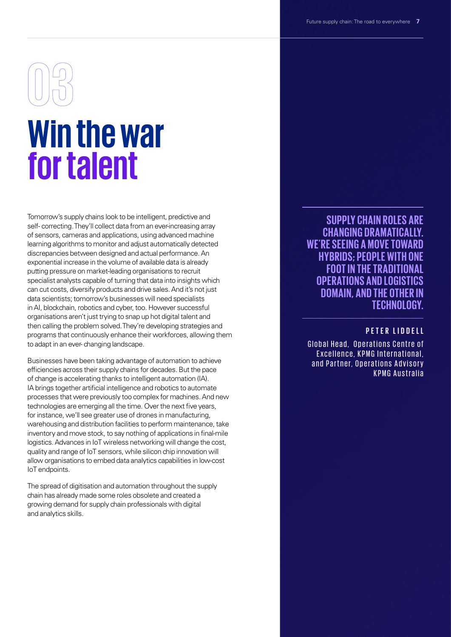# **Win the war for talent**

Tomorrow's supply chains look to be intelligent, predictive and self- correcting. They'll collect data from an ever-increasing array of sensors, cameras and applications, using advanced machine learning algorithms to monitor and adjust automatically detected discrepancies between designed and actual performance. An exponential increase in the volume of available data is already putting pressure on market-leading organisations to recruit specialist analysts capable of turning that data into insights which can cut costs, diversify products and drive sales. And it's not just data scientists; tomorrow's businesses will need specialists in AI, blockchain, robotics and cyber, too. However successful organisations aren't just trying to snap up hot digital talent and then calling the problem solved. They're developing strategies and programs that continuously enhance their workforces, allowing them to adapt in an ever- changing landscape.

Businesses have been taking advantage of automation to achieve efficiencies across their supply chains for decades. But the pace of change is accelerating thanks to intelligent automation (IA). IA brings together artificial intelligence and robotics to automate processes that were previously too complex for machines. And new technologies are emerging all the time. Over the next five years, for instance, we'll see greater use of drones in manufacturing, warehousing and distribution facilities to perform maintenance, take inventory and move stock, to say nothing of applications in final-mile logistics. Advances in IoT wireless networking will change the cost, quality and range of IoT sensors, while silicon chip innovation will allow organisations to embed data analytics capabilities in low-cost IoT endpoints.

The spread of digitisation and automation throughout the supply chain has already made some roles obsolete and created a growing demand for supply chain professionals with digital and analytics skills.

**SUPPLY CHAIN ROLES ARE CHANGING DRAMATICALLY. WE'RE SEEING A MOVE TOWARD HYBRIDS; PEOPLE WITH ONE FOOT IN THE TRADITIONAL OPERATIONS AND LOGISTICS DOMAIN, AND THE OTHER IN TECHNOLOGY.**

### **PETER LIDDELL**

Global Head, Operations Centre of Excellence, KPMG International. and Partner, Operations Advisory KPMG Australia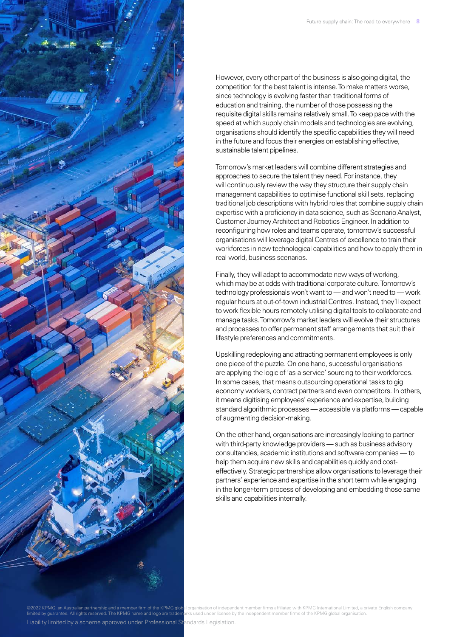

However, every other part of the business is also going digital, the competition for the best talent is intense. To make matters worse, since technology is evolving faster than traditional forms of education and training, the number of those possessing the requisite digital skills remains relatively small. To keep pace with the speed at which supply chain models and technologies are evolving. organisations should identify the specific capabilities they will need in the future and focus their energies on establishing effective, sustainable talent pipelines.

Tomorrow's market leaders will combine different strategies and approaches to secure the talent they need. For instance, they will continuously review the way they structure their supply chain management capabilities to optimise functional skill sets, replacing traditional job descriptions with hybrid roles that combine supply chain expertise with a proficiency in data science, such as Scenario Analyst, Customer Journey Architect and Robotics Engineer. In addition to reconfiguring how roles and teams operate, tomorrow's successful organisations will leverage digital Centres of excellence to train their workforces in new technological capabilities and how to apply them in real-world, business scenarios.

Finally, they will adapt to accommodate new ways of working, which may be at odds with traditional corporate culture. Tomorrow's technology professionals won't want to — and won't need to — work regular hours at out-of-town industrial Centres. Instead, they'll expect to work flexible hours remotely utilising digital tools to collaborate and manage tasks. Tomorrow's market leaders will evolve their structures and processes to offer permanent staff arrangements that suit their lifestyle preferences and commitments.

Upskilling redeploying and attracting permanent employees is only one piece of the puzzle. On one hand, successful organisations are applying the logic of 'as-a-service' sourcing to their workforces. In some cases, that means outsourcing operational tasks to gig economy workers, contract partners and even competitors. In others, it means digitising employees' experience and expertise, building standard algorithmic processes — accessible via platforms — capable of augmenting decision-making.

On the other hand, organisations are increasingly looking to partner with third-party knowledge providers — such as business advisory consultancies, academic institutions and software companies — to help them acquire new skills and capabilities quickly and costeffectively. Strategic partnerships allow organisations to leverage their partners' experience and expertise in the short term while engaging in the longer-term process of developing and embedding those same skills and capabilities internally.

02022 KPMG, an Australian partnership and a member firm of the KPMG global organisation of independent member firms affiliated with KPMG International Limited, a private English company rks used under license by the independent member firms of the KPMG global organis Liability limited by a scheme approved under Professional Standards Legislation.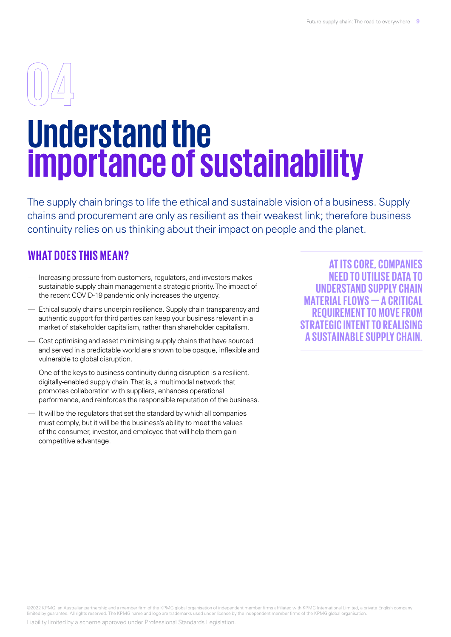### **Understand the importance of sustainability**

The supply chain brings to life the ethical and sustainable vision of a business. Supply chains and procurement are only as resilient as their weakest link; therefore business continuity relies on us thinking about their impact on people and the planet.

### **WHAT DOES THIS MEAN?**

- Increasing pressure from customers, regulators, and investors makes sustainable supply chain management a strategic priority. The impact of the recent COVID-19 pandemic only increases the urgency.
- Ethical supply chains underpin resilience. Supply chain transparency and authentic support for third parties can keep your business relevant in a market of stakeholder capitalism, rather than shareholder capitalism.
- Cost optimising and asset minimising supply chains that have sourced and served in a predictable world are shown to be opaque, inflexible and vulnerable to global disruption.
- One of the keys to business continuity during disruption is a resilient, digitally-enabled supply chain. That is, a multimodal network that promotes collaboration with suppliers, enhances operational performance, and reinforces the responsible reputation of the business.
- It will be the regulators that set the standard by which all companies must comply, but it will be the business's ability to meet the values of the consumer, investor, and employee that will help them gain competitive advantage.

**AT ITS CORE, COMPANIES NEED TO UTILISE DATA TO UNDERSTAND SUPPLY CHAIN MATERIAL FLOWS — A CRITICAL REQUIREMENT TO MOVE FROM STRATEGIC INTENT TO REALISING A SUSTAINABLE SUPPLY CHAIN.**

©2022 KPMG, an Australian partnership and a member firm of the KPMG global organisation of independent member firms affiliated with KPMG International Limited, a private English company<br>limited by guarantee. All rights res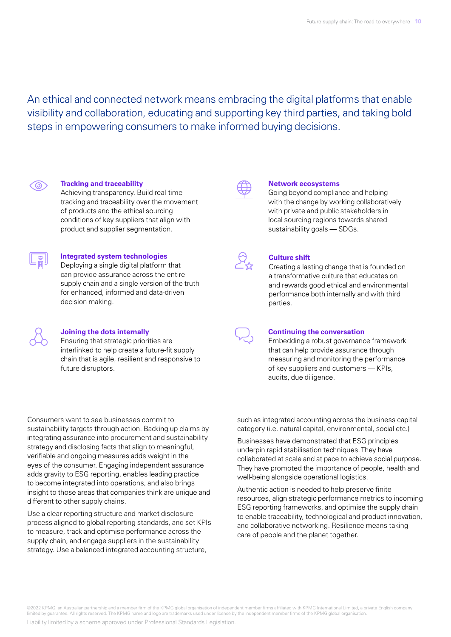An ethical and connected network means embracing the digital platforms that enable visibility and collaboration, educating and supporting key third parties, and taking bold steps in empowering consumers to make informed buying decisions.



#### **Tracking and traceability**

Achieving transparency. Build real-time tracking and traceability over the movement of products and the ethical sourcing conditions of key suppliers that align with product and supplier segmentation.



### **Integrated system technologies**

Deploying a single digital platform that can provide assurance across the entire supply chain and a single version of the truth for enhanced, informed and data-driven decision making.

| M. | M. |
|----|----|
|    |    |

#### **Joining the dots internally**

Ensuring that strategic priorities are interlinked to help create a future-fit supply chain that is agile, resilient and responsive to future disruptors.

Consumers want to see businesses commit to sustainability targets through action. Backing up claims by integrating assurance into procurement and sustainability strategy and disclosing facts that align to meaningful, verifiable and ongoing measures adds weight in the eyes of the consumer. Engaging independent assurance adds gravity to ESG reporting, enables leading practice to become integrated into operations, and also brings insight to those areas that companies think are unique and different to other supply chains.

Use a clear reporting structure and market disclosure process aligned to global reporting standards, and set KPIs to measure, track and optimise performance across the supply chain, and engage suppliers in the sustainability strategy. Use a balanced integrated accounting structure,



#### **Network ecosystems**

Going beyond compliance and helping with the change by working collaboratively with private and public stakeholders in local sourcing regions towards shared sustainability goals — SDGs.



#### **Culture shift**

Creating a lasting change that is founded on a transformative culture that educates on and rewards good ethical and environmental performance both internally and with third parties.

#### **Continuing the conversation**

Embedding a robust governance framework that can help provide assurance through measuring and monitoring the performance of key suppliers and customers — KPIs, audits, due diligence.

such as integrated accounting across the business capital category (i.e. natural capital, environmental, social etc.)

Businesses have demonstrated that ESG principles underpin rapid stabilisation techniques. They have collaborated at scale and at pace to achieve social purpose. They have promoted the importance of people, health and well-being alongside operational logistics.

Authentic action is needed to help preserve finite resources, align strategic performance metrics to incoming ESG reporting frameworks, and optimise the supply chain to enable traceability, technological and product innovation, and collaborative networking. Resilience means taking care of people and the planet together.

©2022 KPMG, an Australian partnership and a member firm of the KPMG global organisation of independent member firms affiliated with KPMG International Limited, a private English company<br>limited by guarantee. All rights res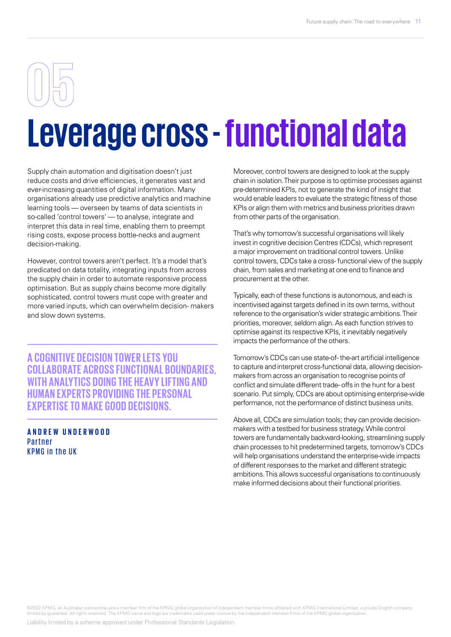### **Leverage cross - functional data**

Supply chain automation and digitisation doesn't just reduce costs and drive efficiencies, it generates vast and ever-increasing quantities of digital information. Many organisations already use predictive analytics and machine learning tools — overseen by teams of data scientists in so-called 'control towers' — to analyse, integrate and interpret this data in real time, enabling them to preempt rising costs, expose process bottle-necks and augment decision-making.

However, control towers aren't perfect. It's a model that's predicated on data totality, integrating inputs from across the supply chain in order to automate responsive process optimisation. But as supply chains become more digitally sophisticated, control towers must cope with greater and more varied inputs, which can overwhelm decision- makers and slow down systems.

**A COGNITIVE DECISION TOWER LETS YOU COLLABORATE ACROSS FUNCTIONAL BOUNDARIES, WITH ANALYTICS DOING THE HEAVY LIFTING AND HUMAN EXPERTS PROVIDING THE PERSONAL EXPERTISE TO MAKE GOOD DECISIONS.**

**ANDREW UNDERWOOD** Partner KPMG in the UK

Moreover, control towers are designed to look at the supply chain in isolation. Their purpose is to optimise processes against pre-determined KPIs, not to generate the kind of insight that would enable leaders to evaluate the strategic fitness of those KPIs or align them with metrics and business priorities drawn from other parts of the organisation.

That's why tomorrow's successful organisations will likely invest in cognitive decision Centres (CDCs), which represent a major improvement on traditional control towers. Unlike control towers, CDCs take a cross- functional view of the supply chain, from sales and marketing at one end to finance and procurement at the other.

Typically, each of these functions is autonomous, and each is incentivised against targets defined in its own terms, without reference to the organisation's wider strategic ambitions. Their priorities, moreover, seldom align. As each function strives to optimise against its respective KPIs, it inevitably negatively impacts the performance of the others.

Tomorrow's CDCs can use state-of- the-art artificial intelligence to capture and interpret cross-functional data, allowing decisionmakers from across an organisation to recognise points of conflict and simulate different trade- offs in the hunt for a best scenario. Put simply, CDCs are about optimising enterprise-wide performance, not the performance of distinct business units.

Above all, CDCs are simulation tools; they can provide decisionmakers with a testbed for business strategy. While control towers are fundamentally backward-looking, streamlining supply chain processes to hit predetermined targets, tomorrow's CDCs will help organisations understand the enterprise-wide impacts of different responses to the market and different strategic ambitions. This allows successful organisations to continuously make informed decisions about their functional priorities.

©2022 KPMG, an Australian partnership and a member firm of the KPMG global organisation of independent member firms affiliated with KPMG International Limited, a private English company<br>limited by guarantee. All rights res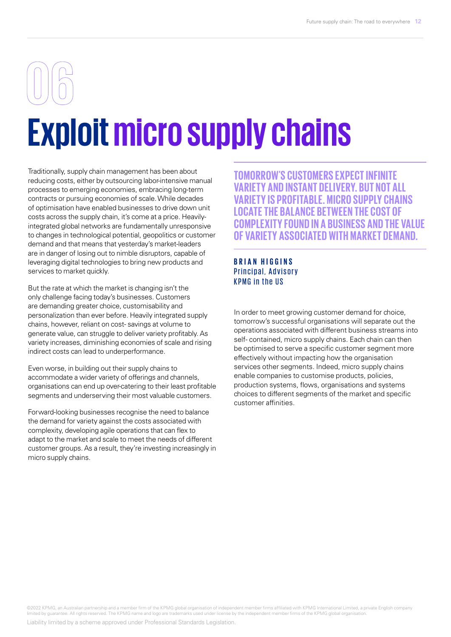# **Exploit micro supply chains**

Traditionally, supply chain management has been about reducing costs, either by outsourcing labor-intensive manual processes to emerging economies, embracing long-term contracts or pursuing economies of scale. While decades of optimisation have enabled businesses to drive down unit costs across the supply chain, it's come at a price. Heavilyintegrated global networks are fundamentally unresponsive to changes in technological potential, geopolitics or customer demand and that means that yesterday's market-leaders are in danger of losing out to nimble disruptors, capable of leveraging digital technologies to bring new products and services to market quickly.

But the rate at which the market is changing isn't the only challenge facing today's businesses. Customers are demanding greater choice, customisability and personalization than ever before. Heavily integrated supply chains, however, reliant on cost- savings at volume to generate value, can struggle to deliver variety profitably. As variety increases, diminishing economies of scale and rising indirect costs can lead to underperformance.

Even worse, in building out their supply chains to accommodate a wider variety of offerings and channels, organisations can end up over-catering to their least profitable segments and underserving their most valuable customers.

Forward-looking businesses recognise the need to balance the demand for variety against the costs associated with complexity, developing agile operations that can flex to adapt to the market and scale to meet the needs of different customer groups. As a result, they're investing increasingly in micro supply chains.

**TOMORROW'S CUSTOMERS EXPECT INFINITE VARIETY AND INSTANT DELIVERY. BUT NOT ALL VARIETY IS PROFITABLE. MICRO SUPPLY CHAINS LOCATE THE BALANCE BETWEEN THE COST OF COMPLEXITY FOUND IN A BUSINESS AND THE VALUE OF VARIETY ASSOCIATED WITH MARKET DEMAND.**

### **BRIAN HIGGINS** Principal, Advisory KPMG in the US

In order to meet growing customer demand for choice, tomorrow's successful organisations will separate out the operations associated with different business streams into self- contained, micro supply chains. Each chain can then be optimised to serve a specific customer segment more effectively without impacting how the organisation services other segments. Indeed, micro supply chains enable companies to customise products, policies, production systems, flows, organisations and systems choices to different segments of the market and specific customer affinities.

©2022 KPMG, an Australian partnership and a member firm of the KPMG global organisation of independent member firms affiliated with KPMG International Limited, a private English company<br>limited by guarantee. All rights res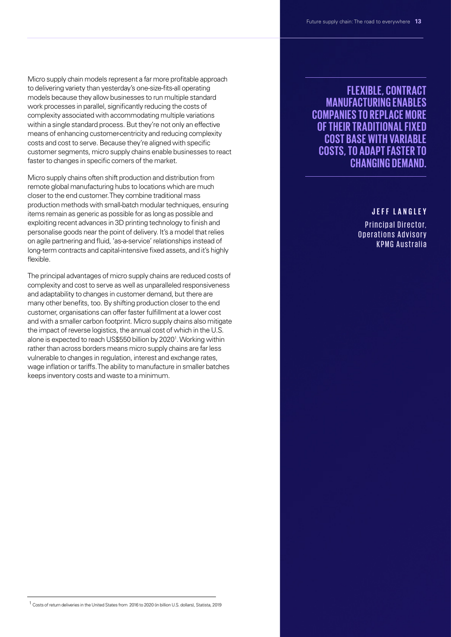Micro supply chain models represent a far more profitable approach to delivering variety than yesterday's one-size-fits-all operating models because they allow businesses to run multiple standard work processes in parallel, significantly reducing the costs of complexity associated with accommodating multiple variations within a single standard process. But they're not only an effective means of enhancing customer-centricity and reducing complexity costs and cost to serve. Because they're aligned with specific customer segments, micro supply chains enable businesses to react faster to changes in specific corners of the market.

Micro supply chains often shift production and distribution from remote global manufacturing hubs to locations which are much closer to the end customer. They combine traditional mass production methods with small-batch modular techniques, ensuring items remain as generic as possible for as long as possible and exploiting recent advances in 3D printing technology to finish and personalise goods near the point of delivery. It's a model that relies on agile partnering and fluid, 'as-a-service' relationships instead of long-term contracts and capital-intensive fixed assets, and it's highly flexible.

The principal advantages of micro supply chains are reduced costs of complexity and cost to serve as well as unparalleled responsiveness and adaptability to changes in customer demand, but there are many other benefits, too. By shifting production closer to the end customer, organisations can offer faster fulfillment at a lower cost and with a smaller carbon footprint. Micro supply chains also mitigate the impact of reverse logistics, the annual cost of which in the U.S. alone is expected to reach US\$550 billion by 2020<sup>1</sup>. Working within rather than across borders means micro supply chains are far less vulnerable to changes in regulation, interest and exchange rates, wage inflation or tariffs. The ability to manufacture in smaller batches keeps inventory costs and waste to a minimum.

### **FLEXIBLE, CONTRACT MANUFACTURING ENABLES COMPANIES TO REPLACE MORE OF THEIR TRADITIONAL FIXED COST BASE WITH VARIABLE COSTS, TO ADAPT FASTER TO CHANGING DEMAND.**

### **J E F F L A N G L E Y**

Principal Director, Operations Advisory KPMG Australia

<sup>&</sup>lt;sup>1</sup> Costs of return deliveries in the United States from 2016 to 2020 (in billion U.S. dollars), Statista, 2019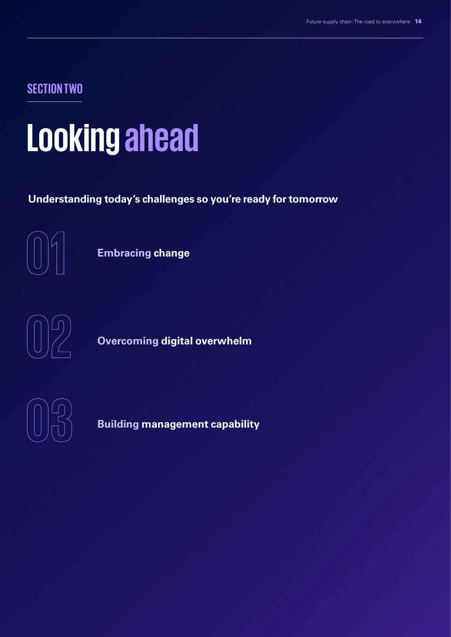**SECTION TWO**

### **Looking ahead**

**Understanding today's challenges so you're ready for tomorrow**



**Embracing change**



**Overcoming digital overwhelm**



**Building management capability**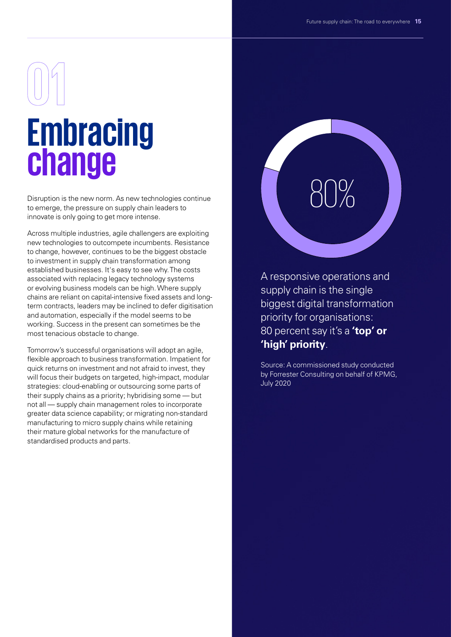# **Embracing change**

Disruption is the new norm. As new technologies continue to emerge, the pressure on supply chain leaders to innovate is only going to get more intense.

Across multiple industries, agile challengers are exploiting new technologies to outcompete incumbents. Resistance to change, however, continues to be the biggest obstacle to investment in supply chain transformation among established businesses. It's easy to see why. The costs associated with replacing legacy technology systems or evolving business models can be high. Where supply chains are reliant on capital-intensive fixed assets and longterm contracts, leaders may be inclined to defer digitisation and automation, especially if the model seems to be working. Success in the present can sometimes be the most tenacious obstacle to change.

Tomorrow's successful organisations will adopt an agile, flexible approach to business transformation. Impatient for quick returns on investment and not afraid to invest, they will focus their budgets on targeted, high-impact, modular strategies: cloud-enabling or outsourcing some parts of their supply chains as a priority; hybridising some — but not all — supply chain management roles to incorporate greater data science capability; or migrating non-standard manufacturing to micro supply chains while retaining their mature global networks for the manufacture of standardised products and parts.

# 80%

A responsive operations and supply chain is the single biggest digital transformation priority for organisations: 80 percent say it's a **'top' or 'high' priority**.

Source: A commissioned study conducted by Forrester Consulting on behalf of KPMG, July 2020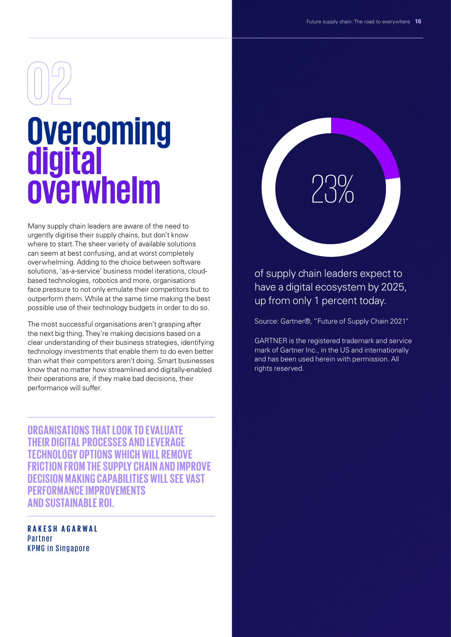## **Overcoming digital overwhelm**

Many supply chain leaders are aware of the need to urgently digitise their supply chains, but don't know where to start. The sheer variety of available solutions can seem at best confusing, and at worst completely overwhelming. Adding to the choice between software solutions, 'as-a-service' business model iterations, cloudbased technologies, robotics and more, organisations face pressure to not only emulate their competitors but to outperform them. While at the same time making the best possible use of their technology budgets in order to do so.

The most successful organisations aren't grasping after the next big thing. They're making decisions based on a clear understanding of their business strategies, identifying technology investments that enable them to do even better than what their competitors aren't doing. Smart businesses know that no matter how streamlined and digitally-enabled their operations are, if they make bad decisions, their performance will suffer.

**ORGANISATIONS THAT LOOK TO EVALUATE THEIR DIGITAL PROCESSES AND LEVERAGE TECHNOLOGY OPTIONS WHICH WILL REMOVE FRICTION FROM THE SUPPLY CHAIN AND IMPROVE DECISION MAKING CAPABILITIES WILL SEE VAST PERFORMANCE IMPROVEMENTS AND SUSTAINABLE ROI.**

**RAKESH AGARWAL** Partner KPMG in Singapore

# 23%

of supply chain leaders expect to have a digital ecosystem by 2025, up from only 1 percent today.

Source: Gartner®, "Future of Supply Chain 2021"

GARTNER is the registered trademark and service mark of Gartner Inc., in the US and internationally and has been used herein with permission. All rights reserved.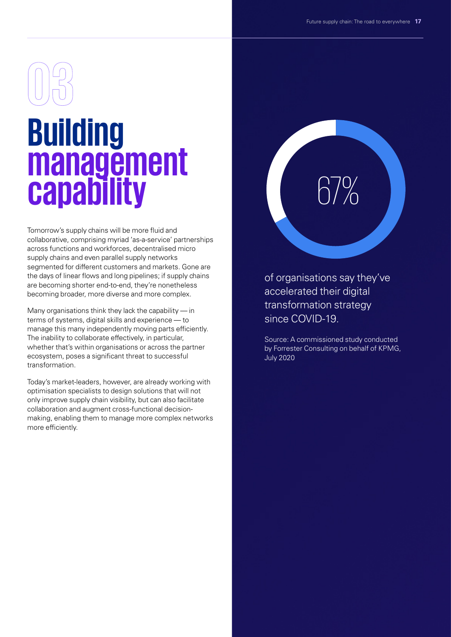## **Building management capability**

Tomorrow's supply chains will be more fluid and collaborative, comprising myriad 'as-a-service' partnerships across functions and workforces, decentralised micro supply chains and even parallel supply networks segmented for different customers and markets. Gone are the days of linear flows and long pipelines; if supply chains are becoming shorter end-to-end, they're nonetheless becoming broader, more diverse and more complex.

Many organisations think they lack the capability — in terms of systems, digital skills and experience — to manage this many independently moving parts efficiently. The inability to collaborate effectively, in particular, whether that's within organisations or across the partner ecosystem, poses a significant threat to successful transformation.

Today's market-leaders, however, are already working with optimisation specialists to design solutions that will not only improve supply chain visibility, but can also facilitate collaboration and augment cross-functional decisionmaking, enabling them to manage more complex networks more efficiently.

## 67%

of organisations say they've accelerated their digital transformation strategy since COVID-19.

Source: A commissioned study conducted by Forrester Consulting on behalf of KPMG, July 2020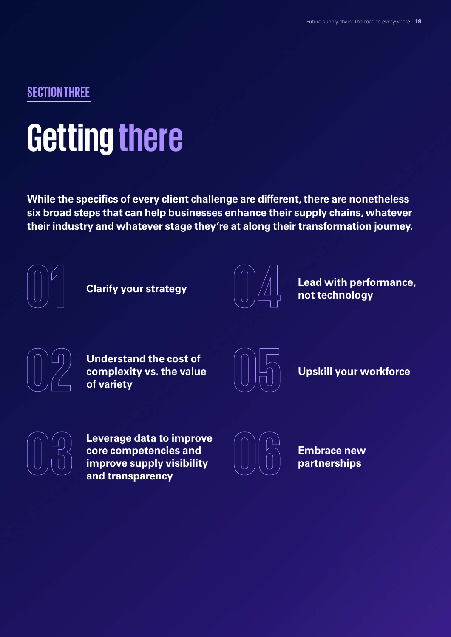### **SECTION THREE**

### **Getting there**

**While the specifics of every client challenge are different, there are nonetheless six broad steps that can help businesses enhance their supply chains, whatever their industry and whatever stage they're at along their transformation journey.**



**Clarify your strategy**



**Lead with performance, not technology**

**Understand the cost of complexity vs. the value of variety**



**Upskill your workforce**

**Leverage data to improve core competencies and improve supply visibility and transparency**



**Embrace new partnerships**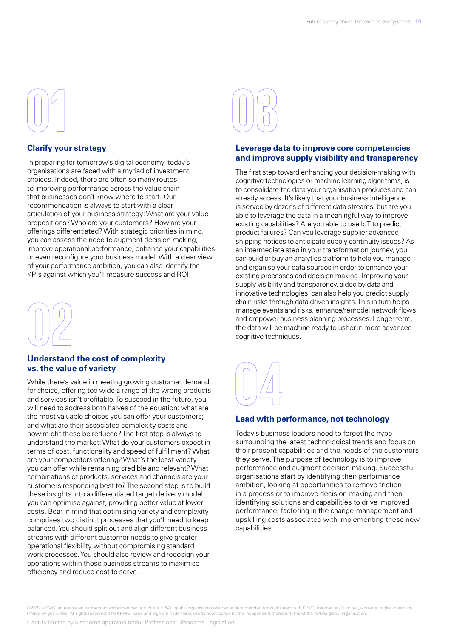

### **Clarify your strategy**

In preparing for tomorrow's digital economy, today's organisations are faced with a myriad of investment choices. Indeed, there are often so many routes to improving performance across the value chain that businesses don't know where to start. Our recommendation is always to start with a clear articulation of your business strategy: What are your value propositions? Who are your customers? How are your offerings differentiated? With strategic priorities in mind, you can assess the need to augment decision-making, improve operational performance, enhance your capabilities or even reconfigure your business model. With a clear view of your performance ambition, you can also identify the KPIs against which you'll measure success and ROI.



### **Understand the cost of complexity vs. the value of variety**

While there's value in meeting growing customer demand for choice, offering too wide a range of the wrong products and services isn't profitable. To succeed in the future, you will need to address both halves of the equation: what are the most valuable choices you can offer your customers; and what are their associated complexity costs and how might these be reduced? The first step is always to understand the market: What do your customers expect in terms of cost, functionality and speed of fulfillment? What are your competitors offering? What's the least variety you can offer while remaining credible and relevant? What combinations of products, services and channels are your customers responding best to? The second step is to build these insights into a differentiated target delivery model you can optimise against, providing better value at lower costs. Bear in mind that optimising variety and complexity comprises two distinct processes that you'll need to keep balanced. You should split out and align different business streams with different customer needs to give greater operational flexibility without compromising standard work processes. You should also review and redesign your operations within those business streams to maximise efficiency and reduce cost to serve.



### **Leverage data to improve core competencies and improve supply visibility and transparency**

The first step toward enhancing your decision-making with cognitive technologies or machine learning algorithms, is to consolidate the data your organisation produces and can already access. It's likely that your business intelligence is served by dozens of different data streams, but are you able to leverage the data in a meaningful way to improve existing capabilities? Are you able to use IoT to predict product failures? Can you leverage supplier advanced shipping notices to anticipate supply continuity issues? As an intermediate step in your transformation journey, you can build or buy an analytics platform to help you manage and organise your data sources in order to enhance your existing processes and decision making. Improving your supply visibility and transparency, aided by data and innovative technologies, can also help you predict supply chain risks through data driven insights. This in turn helps manage events and risks, enhance/remodel network flows, and empower business planning processes. Longer-term, the data will be machine ready to usher in more advanced cognitive techniques.



### **Lead with performance, not technology**

Today's business leaders need to forget the hype surrounding the latest technological trends and focus on their present capabilities and the needs of the customers they serve. The purpose of technology is to improve performance and augment decision-making. Successful organisations start by identifying their performance ambition, looking at opportunities to remove friction in a process or to improve decision-making and then identifying solutions and capabilities to drive improved performance, factoring in the change-management and upskilling costs associated with implementing these new capabilities.

©2022 KPMG, an Australian partnership and a member firm of the KPMG global organisation of independent member firms affiliated with KPMG International Limited, a private English company<br>limited by guarantee. All rights res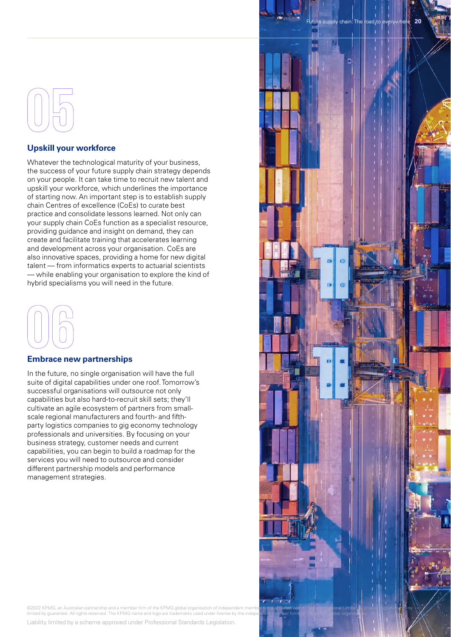### **Upskill your workforce**

Whatever the technological maturity of your business, the success of your future supply chain strategy depends on your people. It can take time to recruit new talent and upskill your workforce, which underlines the importance of starting now. An important step is to establish supply chain Centres of excellence (CoEs) to curate best practice and consolidate lessons learned. Not only can your supply chain CoEs function as a specialist resource, providing guidance and insight on demand, they can create and facilitate training that accelerates learning and development across your organisation. CoEs are also innovative spaces, providing a home for new digital talent — from informatics experts to actuarial scientists — while enabling your organisation to explore the kind of hybrid specialisms you will need in the future.



### **Embrace new partnerships**

In the future, no single organisation will have the full suite of digital capabilities under one roof. Tomorrow's successful organisations will outsource not only capabilities but also hard-to-recruit skill sets; they'll cultivate an agile ecosystem of partners from smallscale regional manufacturers and fourth- and fifthparty logistics companies to gig economy technology professionals and universities. By focusing on your business strategy, customer needs and current capabilities, you can begin to build a roadmap for the services you will need to outsource and consider different partnership models and performance management strategies.



©2022 KPMG, an Australian partnership and a member firm of the KPMG global organisation of independent member firms affil**iated wit**h KPMG international Limited a private Liglish company<br>limited by guarantee. All rights re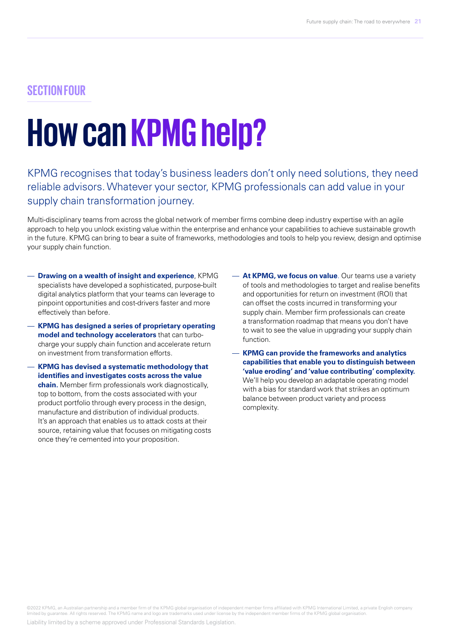### **SECTION FOUR**

### **How can KPMG help?**

### KPMG recognises that today's business leaders don't only need solutions, they need reliable advisors. Whatever your sector, KPMG professionals can add value in your supply chain transformation journey.

Multi-disciplinary teams from across the global network of member firms combine deep industry expertise with an agile approach to help you unlock existing value within the enterprise and enhance your capabilities to achieve sustainable growth in the future. KPMG can bring to bear a suite of frameworks, methodologies and tools to help you review, design and optimise your supply chain function.

- **Drawing on a wealth of insight and experience**, KPMG specialists have developed a sophisticated, purpose-built digital analytics platform that your teams can leverage to pinpoint opportunities and cost-drivers faster and more effectively than before.
- **KPMG has designed a series of proprietary operating model and technology accelerators** that can turbocharge your supply chain function and accelerate return on investment from transformation efforts.
- **KPMG has devised a systematic methodology that identifies and investigates costs across the value chain.** Member firm professionals work diagnostically, top to bottom, from the costs associated with your product portfolio through every process in the design, manufacture and distribution of individual products. It's an approach that enables us to attack costs at their source, retaining value that focuses on mitigating costs once they're cemented into your proposition.
- **At KPMG, we focus on value**. Our teams use a variety of tools and methodologies to target and realise benefits and opportunities for return on investment (ROI) that can offset the costs incurred in transforming your supply chain. Member firm professionals can create a transformation roadmap that means you don't have to wait to see the value in upgrading your supply chain function.
- **KPMG can provide the frameworks and analytics capabilities that enable you to distinguish between 'value eroding' and 'value contributing' complexity.**  We'll help you develop an adaptable operating model with a bias for standard work that strikes an optimum balance between product variety and process complexity.

©2022 KPMG, an Australian partnership and a member firm of the KPMG global organisation of independent member firms affiliated with KPMG International Limited, a private English company<br>limited by guarantee. All rights res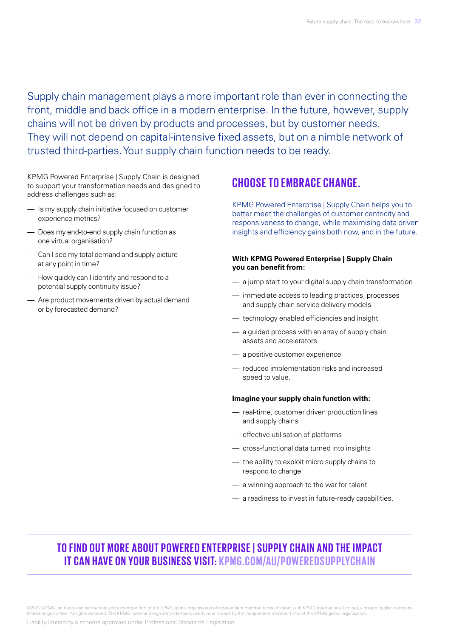Supply chain management plays a more important role than ever in connecting the front, middle and back office in a modern enterprise. In the future, however, supply chains will not be driven by products and processes, but by customer needs. They will not depend on capital-intensive fixed assets, but on a nimble network of trusted third-parties. Your supply chain function needs to be ready.

KPMG Powered Enterprise | Supply Chain is designed to support your transformation needs and designed to address challenges such as:

- Is my supply chain initiative focused on customer experience metrics?
- Does my end-to-end supply chain function as one virtual organisation?
- Can I see my total demand and supply picture at any point in time?
- How quickly can I identify and respond to a potential supply continuity issue?
- Are product movements driven by actual demand or by forecasted demand?

### **CHOOSE TO EMBRACE CHANGE.**

KPMG Powered Enterprise | Supply Chain helps you to better meet the challenges of customer centricity and responsiveness to change, while maximising data driven insights and efficiency gains both now, and in the future.

### **With KPMG Powered Enterprise | Supply Chain you can benefit from:**

- a jump start to your digital supply chain transformation
- immediate access to leading practices, processes and supply chain service delivery models
- technology enabled efficiencies and insight
- a guided process with an array of supply chain assets and accelerators
- a positive customer experience
- reduced implementation risks and increased speed to value.

#### **Imagine your supply chain function with:**

- real-time, customer driven production lines and supply chains
- effective utilisation of platforms
- cross-functional data turned into insights
- the ability to exploit micro supply chains to respond to change
- a winning approach to the war for talent
- a readiness to invest in future-ready capabilities.

### **TO FIND OUT MORE ABOUT POWERED ENTERPRISE | SUPPLY CHAIN AND THE IMPACT IT CAN HAVE ON YOUR BUSINESS VISIT:** KPMG.COM/AU/POWEREDSUPPLYCHAIN

©2022 KPMG, an Australian partnership and a member firm of the KPMG global organisation of independent member firms affiliated with KPMG International Limited, a private English company<br>limited by guarantee. All rights res